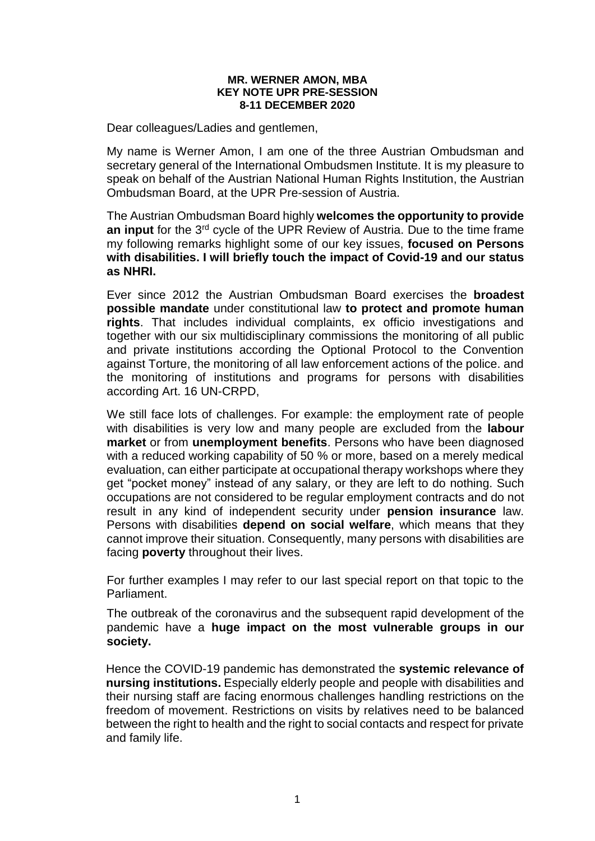## **MR. WERNER AMON, MBA KEY NOTE UPR PRE-SESSION 8-11 DECEMBER 2020**

Dear colleagues/Ladies and gentlemen,

My name is Werner Amon, I am one of the three Austrian Ombudsman and secretary general of the International Ombudsmen Institute. It is my pleasure to speak on behalf of the Austrian National Human Rights Institution, the Austrian Ombudsman Board, at the UPR Pre-session of Austria.

The Austrian Ombudsman Board highly **welcomes the opportunity to provide an input** for the 3rd cycle of the UPR Review of Austria. Due to the time frame my following remarks highlight some of our key issues, **focused on Persons with disabilities. I will briefly touch the impact of Covid-19 and our status as NHRI.**

Ever since 2012 the Austrian Ombudsman Board exercises the **broadest possible mandate** under constitutional law **to protect and promote human rights**. That includes individual complaints, ex officio investigations and together with our six multidisciplinary commissions the monitoring of all public and private institutions according the Optional Protocol to the Convention against Torture, the monitoring of all law enforcement actions of the police. and the monitoring of institutions and programs for persons with disabilities according Art. 16 UN-CRPD,

We still face lots of challenges. For example: the employment rate of people with disabilities is very low and many people are excluded from the **labour market** or from **unemployment benefits**. Persons who have been diagnosed with a reduced working capability of 50 % or more, based on a merely medical evaluation, can either participate at occupational therapy workshops where they get "pocket money" instead of any salary, or they are left to do nothing. Such occupations are not considered to be regular employment contracts and do not result in any kind of independent security under **pension insurance** law. Persons with disabilities **depend on social welfare**, which means that they cannot improve their situation. Consequently, many persons with disabilities are facing **poverty** throughout their lives.

For further examples I may refer to our last special report on that topic to the Parliament.

The outbreak of the coronavirus and the subsequent rapid development of the pandemic have a **huge impact on the most vulnerable groups in our society.** 

Hence the COVID-19 pandemic has demonstrated the **systemic relevance of nursing institutions.** Especially elderly people and people with disabilities and their nursing staff are facing enormous challenges handling restrictions on the freedom of movement. Restrictions on visits by relatives need to be balanced between the right to health and the right to social contacts and respect for private and family life.